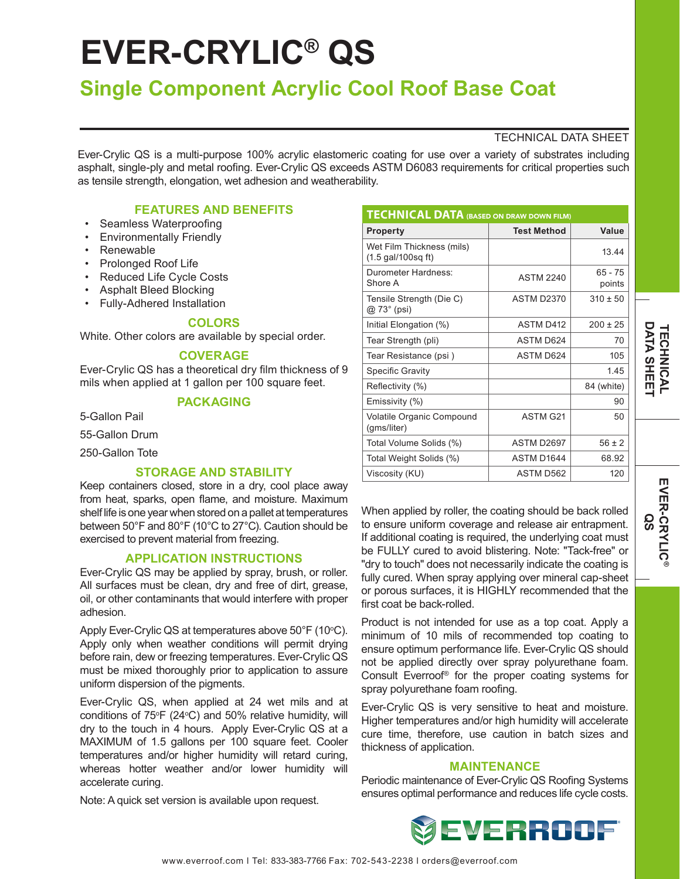# **EVER-CRYLIC® QS**

# **Single Component Acrylic Cool Roof Base Coat**

### TECHNICAL DATA SHEET

Ever-Crylic QS is a multi-purpose 100% acrylic elastomeric coating for use over a variety of substrates including asphalt, single-ply and metal roofing. Ever-Crylic QS exceeds ASTM D6083 requirements for critical properties such as tensile strength, elongation, wet adhesion and weatherability.

# **FEATURES AND BENEFITS**

- Seamless Waterproofing
- Environmentally Friendly
- Renewable
- Prolonged Roof Life
- Reduced Life Cycle Costs
- Asphalt Bleed Blocking
- Fully-Adhered Installation

#### **COLORS**

White. Other colors are available by special order.

#### **COVERAGE**

Ever-Crylic QS has a theoretical dry film thickness of 9 mils when applied at 1 gallon per 100 square feet.

# **PACKAGING**

5-Gallon Pail

55-Gallon Drum

250-Gallon Tote

#### **STORAGE AND STABILITY**

Keep containers closed, store in a dry, cool place away from heat, sparks, open flame, and moisture. Maximum shelf life is one year when stored on a pallet at temperatures between 50°F and 80°F (10°C to 27°C). Caution should be exercised to prevent material from freezing.

#### **APPLICATION INSTRUCTIONS**

Ever-Crylic QS may be applied by spray, brush, or roller. All surfaces must be clean, dry and free of dirt, grease, oil, or other contaminants that would interfere with proper adhesion.

Apply Ever-Crylic QS at temperatures above 50°F (10°C). Apply only when weather conditions will permit drying before rain, dew or freezing temperatures. Ever-Crylic QS must be mixed thoroughly prior to application to assure uniform dispersion of the pigments.

Ever-Crylic QS, when applied at 24 wet mils and at conditions of  $75^{\circ}F$  (24 $^{\circ}C$ ) and 50% relative humidity, will dry to the touch in 4 hours. Apply Ever-Crylic QS at a MAXIMUM of 1.5 gallons per 100 square feet. Cooler temperatures and/or higher humidity will retard curing, whereas hotter weather and/or lower humidity will accelerate curing.

Note: A quick set version is available upon request.

| <b>TECHNICAL DATA (BASED ON DRAW DOWN FILM)</b>                   |                      |                     |
|-------------------------------------------------------------------|----------------------|---------------------|
| <b>Property</b>                                                   | <b>Test Method</b>   | Value               |
| Wet Film Thickness (mils)<br>$(1.5 \text{ gal}/100 \text{sq ft})$ |                      | 13.44               |
| Durometer Hardness:<br>Shore A                                    | <b>ASTM 2240</b>     | $65 - 75$<br>points |
| Tensile Strength (Die C)<br>@ 73° (psi)                           | ASTM D2370           | $310 \pm 50$        |
| Initial Elongation (%)                                            | ASTM D412            | $200 + 25$          |
| Tear Strength (pli)                                               | ASTM D624            | 70                  |
| Tear Resistance (psi)                                             | ASTM D624            | 105                 |
| <b>Specific Gravity</b>                                           |                      | 145                 |
| Reflectivity (%)                                                  |                      | 84 (white)          |
| Emissivity (%)                                                    |                      | 90                  |
| Volatile Organic Compound<br>(gms/liter)                          | ASTM G <sub>21</sub> | 50                  |
| Total Volume Solids (%)                                           | <b>ASTM D2697</b>    | $56 \pm 2$          |
| Total Weight Solids (%)                                           | ASTM D1644           | 68.92               |
| Viscosity (KU)                                                    | ASTM D562            | 120                 |

When applied by roller, the coating should be back rolled to ensure uniform coverage and release air entrapment. If additional coating is required, the underlying coat must be FULLY cured to avoid blistering. Note: "Tack-free" or "dry to touch" does not necessarily indicate the coating is fully cured. When spray applying over mineral cap-sheet or porous surfaces, it is HIGHLY recommended that the first coat be back-rolled.

Product is not intended for use as a top coat. Apply a minimum of 10 mils of recommended top coating to ensure optimum performance life. Ever-Crylic QS should not be applied directly over spray polyurethane foam. Consult Everroof® for the proper coating systems for spray polyurethane foam roofing.

Ever-Crylic QS is very sensitive to heat and moisture. Higher temperatures and/or high humidity will accelerate cure time, therefore, use caution in batch sizes and thickness of application.

#### **MAINTENANCE**

Periodic maintenance of Ever-Crylic QS Roofing Systems ensures optimal performance and reduces life cycle costs.



**DATA SHEET TECHNICAL**

**DATA SHEE** *TECHNICAL*